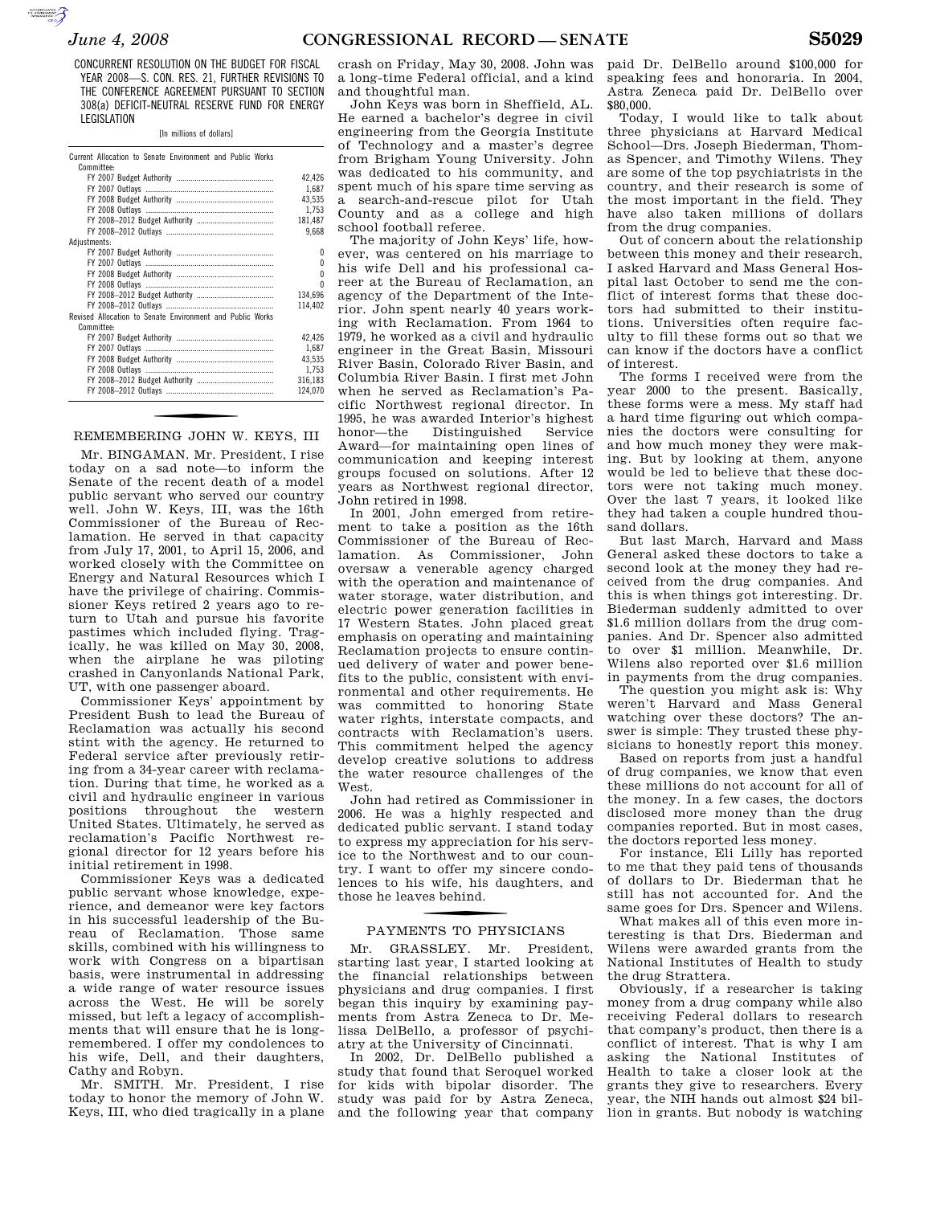**SUPERING THE CONTROL** 

CONCURRENT RESOLUTION ON THE BUDGET FOR FISCAL YEAR 2008—S. CON. RES. 21, FURTHER REVISIONS TO THE CONFERENCE AGREEMENT PURSUANT TO SECTION 308(a) DEFICIT-NEUTRAL RESERVE FUND FOR ENERGY LEGISLATION

[In millions of dollars]

| Current Allocation to Senate Environment and Public Works |         |
|-----------------------------------------------------------|---------|
| Committee:                                                |         |
|                                                           | 42.426  |
|                                                           | 1.687   |
|                                                           | 43.535  |
|                                                           | 1.753   |
|                                                           | 181,487 |
|                                                           | 9,668   |
| Adjustments:                                              |         |
|                                                           | o       |
|                                                           | Λ       |
|                                                           | n       |
|                                                           | n       |
|                                                           | 134,696 |
|                                                           | 114,402 |
| Revised Allocation to Senate Environment and Public Works |         |
| Committee:                                                |         |
|                                                           | 42,426  |
|                                                           | 1,687   |
|                                                           | 43,535  |
|                                                           | 1,753   |
|                                                           | 316,183 |
|                                                           | 124.070 |
|                                                           |         |

#### REMEMBERING JOHN W. KEYS, III

Mr. BINGAMAN. Mr. President, I rise today on a sad note—to inform the Senate of the recent death of a model public servant who served our country well. John W. Keys, III, was the 16th Commissioner of the Bureau of Reclamation. He served in that capacity from July 17, 2001, to April 15, 2006, and worked closely with the Committee on Energy and Natural Resources which I have the privilege of chairing. Commissioner Keys retired 2 years ago to return to Utah and pursue his favorite pastimes which included flying. Tragically, he was killed on May 30, 2008, when the airplane he was piloting crashed in Canyonlands National Park, UT, with one passenger aboard.

Commissioner Keys' appointment by President Bush to lead the Bureau of Reclamation was actually his second stint with the agency. He returned to Federal service after previously retiring from a 34-year career with reclamation. During that time, he worked as a civil and hydraulic engineer in various positions throughout the western United States. Ultimately, he served as reclamation's Pacific Northwest regional director for 12 years before his initial retirement in 1998.

Commissioner Keys was a dedicated public servant whose knowledge, experience, and demeanor were key factors in his successful leadership of the Bureau of Reclamation. Those same skills, combined with his willingness to work with Congress on a bipartisan basis, were instrumental in addressing a wide range of water resource issues across the West. He will be sorely missed, but left a legacy of accomplishments that will ensure that he is longremembered. I offer my condolences to his wife, Dell, and their daughters, Cathy and Robyn.

Mr. SMITH. Mr. President, I rise today to honor the memory of John W. Keys, III, who died tragically in a plane

crash on Friday, May 30, 2008. John was a long-time Federal official, and a kind and thoughtful man.

John Keys was born in Sheffield, AL. He earned a bachelor's degree in civil engineering from the Georgia Institute of Technology and a master's degree from Brigham Young University. John was dedicated to his community, and spent much of his spare time serving as a search-and-rescue pilot for Utah County and as a college and high school football referee.

The majority of John Keys' life, however, was centered on his marriage to his wife Dell and his professional career at the Bureau of Reclamation, an agency of the Department of the Interior. John spent nearly 40 years working with Reclamation. From 1964 to 1979, he worked as a civil and hydraulic engineer in the Great Basin, Missouri River Basin, Colorado River Basin, and Columbia River Basin. I first met John when he served as Reclamation's Pacific Northwest regional director. In 1995, he was awarded Interior's highest honor—the Distinguished Service Award—for maintaining open lines of communication and keeping interest groups focused on solutions. After 12 years as Northwest regional director, John retired in 1998.

In 2001, John emerged from retirement to take a position as the 16th Commissioner of the Bureau of Reclamation. As Commissioner, John oversaw a venerable agency charged with the operation and maintenance of water storage, water distribution, and electric power generation facilities in 17 Western States. John placed great emphasis on operating and maintaining Reclamation projects to ensure continued delivery of water and power benefits to the public, consistent with environmental and other requirements. He was committed to honoring State water rights, interstate compacts, and contracts with Reclamation's users. This commitment helped the agency develop creative solutions to address the water resource challenges of the West.

John had retired as Commissioner in 2006. He was a highly respected and dedicated public servant. I stand today to express my appreciation for his service to the Northwest and to our country. I want to offer my sincere condolences to his wife, his daughters, and those he leaves behind.

# f PAYMENTS TO PHYSICIANS

Mr. GRASSLEY. Mr. President, starting last year, I started looking at the financial relationships between physicians and drug companies. I first began this inquiry by examining payments from Astra Zeneca to Dr. Melissa DelBello, a professor of psychiatry at the University of Cincinnati.

In 2002, Dr. DelBello published a study that found that Seroquel worked for kids with bipolar disorder. The study was paid for by Astra Zeneca, and the following year that company paid Dr. DelBello around \$100,000 for speaking fees and honoraria. In 2004, Astra Zeneca paid Dr. DelBello over \$80,000.

Today, I would like to talk about three physicians at Harvard Medical School—Drs. Joseph Biederman, Thomas Spencer, and Timothy Wilens. They are some of the top psychiatrists in the country, and their research is some of the most important in the field. They have also taken millions of dollars from the drug companies.

Out of concern about the relationship between this money and their research, I asked Harvard and Mass General Hospital last October to send me the conflict of interest forms that these doctors had submitted to their institutions. Universities often require faculty to fill these forms out so that we can know if the doctors have a conflict of interest.

The forms I received were from the year 2000 to the present. Basically, these forms were a mess. My staff had a hard time figuring out which companies the doctors were consulting for and how much money they were making. But by looking at them, anyone would be led to believe that these doctors were not taking much money. Over the last 7 years, it looked like they had taken a couple hundred thousand dollars.

But last March, Harvard and Mass General asked these doctors to take a second look at the money they had received from the drug companies. And this is when things got interesting. Dr. Biederman suddenly admitted to over \$1.6 million dollars from the drug companies. And Dr. Spencer also admitted to over \$1 million. Meanwhile, Dr. Wilens also reported over \$1.6 million in payments from the drug companies.

The question you might ask is: Why weren't Harvard and Mass General watching over these doctors? The answer is simple: They trusted these physicians to honestly report this money.

Based on reports from just a handful of drug companies, we know that even these millions do not account for all of the money. In a few cases, the doctors disclosed more money than the drug companies reported. But in most cases, the doctors reported less money.

For instance, Eli Lilly has reported to me that they paid tens of thousands of dollars to Dr. Biederman that he still has not accounted for. And the same goes for Drs. Spencer and Wilens.

What makes all of this even more interesting is that Drs. Biederman and Wilens were awarded grants from the National Institutes of Health to study the drug Strattera.

Obviously, if a researcher is taking money from a drug company while also receiving Federal dollars to research that company's product, then there is a conflict of interest. That is why I am asking the National Institutes of Health to take a closer look at the grants they give to researchers. Every year, the NIH hands out almost \$24 billion in grants. But nobody is watching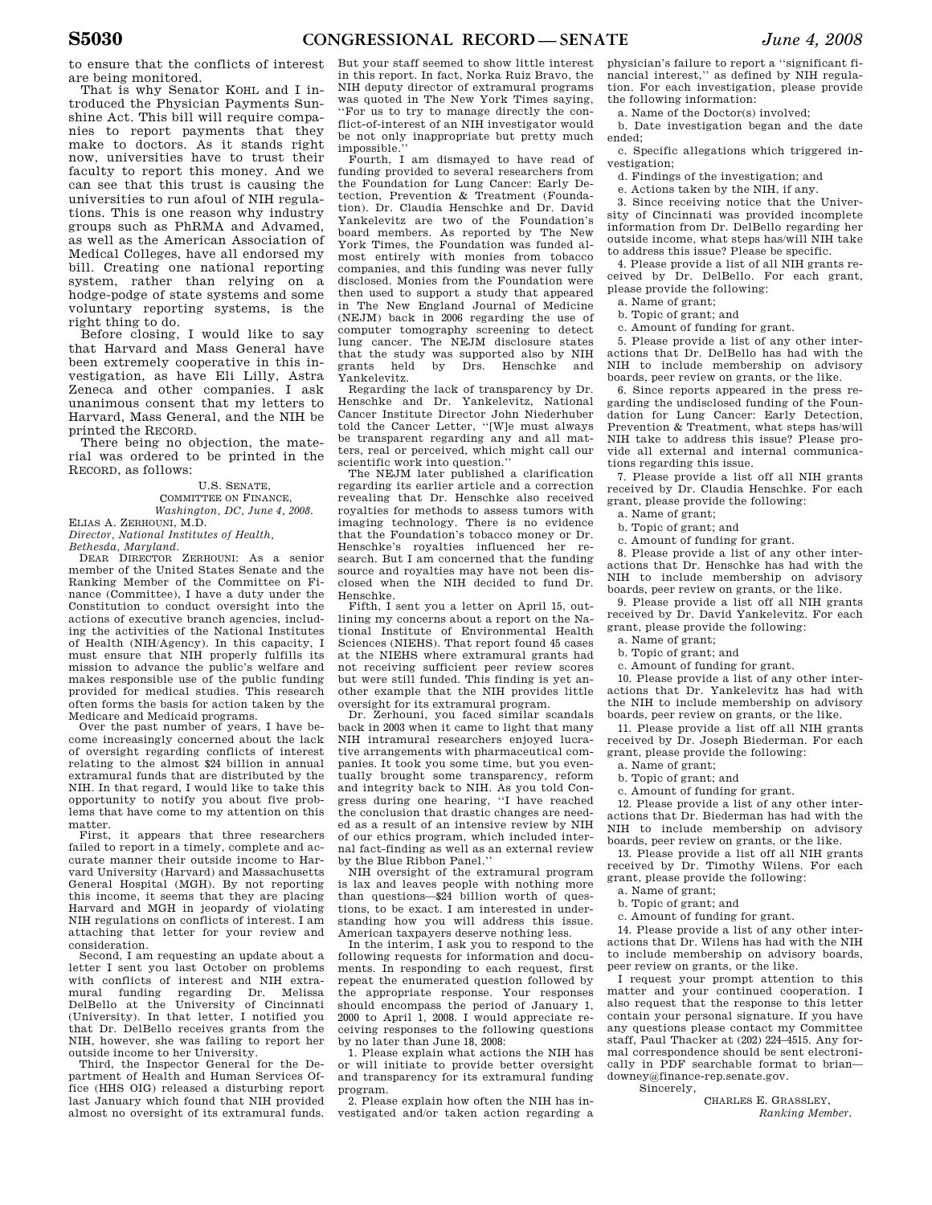to ensure that the conflicts of interest are being monitored.

That is why Senator KOHL and I introduced the Physician Payments Sunshine Act. This bill will require companies to report payments that they make to doctors. As it stands right now, universities have to trust their faculty to report this money. And we can see that this trust is causing the universities to run afoul of NIH regulations. This is one reason why industry groups such as PhRMA and Advamed, as well as the American Association of Medical Colleges, have all endorsed my bill. Creating one national reporting system, rather than relying on a hodge-podge of state systems and some voluntary reporting systems, is the right thing to do.

Before closing, I would like to say that Harvard and Mass General have been extremely cooperative in this investigation, as have Eli Lilly, Astra Zeneca and other companies. I ask unanimous consent that my letters to Harvard, Mass General, and the NIH be printed the RECORD.

There being no objection, the material was ordered to be printed in the RECORD, as follows:

U.S. SENATE, COMMITTEE ON FINANCE, *Washington, DC, June 4, 2008.*  ELIAS A. ZERHOUNI, M.D.

*Director, National Institutes of Health,* 

*Bethesda, Maryland.*  DEAR DIRECTOR ZERHOUNI: As a senior member of the United States Senate and the Ranking Member of the Committee on Finance (Committee), I have a duty under the Constitution to conduct oversight into the actions of executive branch agencies, including the activities of the National Institutes of Health (NIH/Agency). In this capacity, I must ensure that NIH properly fulfills its mission to advance the public's welfare and makes responsible use of the public funding provided for medical studies. This research often forms the basis for action taken by the Medicare and Medicaid programs.

Over the past number of years, I have become increasingly concerned about the lack of oversight regarding conflicts of interest relating to the almost \$24 billion in annual extramural funds that are distributed by the NIH. In that regard, I would like to take this opportunity to notify you about five problems that have come to my attention on this matter.

First, it appears that three researchers failed to report in a timely, complete and accurate manner their outside income to Harvard University (Harvard) and Massachusetts General Hospital (MGH). By not reporting this income, it seems that they are placing Harvard and MGH in jeopardy of violating NIH regulations on conflicts of interest. I am attaching that letter for your review and consideration.

Second, I am requesting an update about a letter I sent you last October on problems with conflicts of interest and NIH extramural funding regarding Dr. Melissa DelBello at the University of Cincinnati (University). In that letter, I notified you that Dr. DelBello receives grants from the NIH, however, she was failing to report her outside income to her University.

Third, the Inspector General for the Department of Health and Human Services Office (HHS OIG) released a disturbing report last January which found that NIH provided almost no oversight of its extramural funds.

But your staff seemed to show little interest in this report. In fact, Norka Ruiz Bravo, the NIH deputy director of extramural programs was quoted in The New York Times saying, ''For us to try to manage directly the conflict-of-interest of an NIH investigator would be not only inappropriate but pretty much impossible.''

Fourth, I am dismayed to have read of funding provided to several researchers from the Foundation for Lung Cancer: Early Detection, Prevention & Treatment (Foundation). Dr. Claudia Henschke and Dr. David Yankelevitz are two of the Foundation's board members. As reported by The New York Times, the Foundation was funded almost entirely with monies from tobacco companies, and this funding was never fully disclosed. Monies from the Foundation were then used to support a study that appeared in The New England Journal of Medicine (NEJM) back in 2006 regarding the use of computer tomography screening to detect lung cancer. The NEJM disclosure states that the study was supported also by NIH<br>grants held by Drs. Henschke and grants held by Drs. Henschke Yankelevitz.

Regarding the lack of transparency by Dr. Henschke and Dr. Yankelevitz, National Cancer Institute Director John Niederhuber told the Cancer Letter, ''[W]e must always be transparent regarding any and all matters, real or perceived, which might call our scientific work into question.''

The NEJM later published a clarification regarding its earlier article and a correction revealing that Dr. Henschke also received royalties for methods to assess tumors with imaging technology. There is no evidence that the Foundation's tobacco money or Dr. Henschke's royalties influenced her research. But I am concerned that the funding source and royalties may have not been disclosed when the NIH decided to fund Dr. Henschke.

Fifth, I sent you a letter on April 15, outlining my concerns about a report on the National Institute of Environmental Health Sciences (NIEHS). That report found 45 cases at the NIEHS where extramural grants had not receiving sufficient peer review scores but were still funded. This finding is yet another example that the NIH provides little oversight for its extramural program.

Dr. Zerhouni, you faced similar scandals back in 2003 when it came to light that many NIH intramural researchers enjoyed lucrative arrangements with pharmaceutical companies. It took you some time, but you eventually brought some transparency, reform and integrity back to NIH. As you told Congress during one hearing, ''I have reached the conclusion that drastic changes are needed as a result of an intensive review by NIH of our ethics program, which included internal fact-finding as well as an external review by the Blue Ribbon Panel.''

NIH oversight of the extramural program is lax and leaves people with nothing more than questions—\$24 billion worth of questions, to be exact. I am interested in understanding how you will address this issue. American taxpayers deserve nothing less.

In the interim, I ask you to respond to the following requests for information and documents. In responding to each request, first repeat the enumerated question followed by the appropriate response. Your responses should encompass the period of January 1, 2000 to April 1, 2008. I would appreciate receiving responses to the following questions by no later than June 18, 2008:

1. Please explain what actions the NIH has or will initiate to provide better oversight and transparency for its extramural funding program.

2. Please explain how often the NIH has investigated and/or taken action regarding a physician's failure to report a ''significant financial interest,'' as defined by NIH regulation. For each investigation, please provide the following information:

a. Name of the Doctor(s) involved;

b. Date investigation began and the date ended;

c. Specific allegations which triggered investigation;

d. Findings of the investigation; and

e. Actions taken by the NIH, if any.

3. Since receiving notice that the University of Cincinnati was provided incomplete information from Dr. DelBello regarding her outside income, what steps has/will NIH take to address this issue? Please be specific.

4. Please provide a list of all NIH grants received by Dr. DelBello. For each grant, please provide the following:

a. Name of grant;

b. Topic of grant; and

c. Amount of funding for grant.

5. Please provide a list of any other interactions that Dr. DelBello has had with the NIH to include membership on advisory boards, peer review on grants, or the like.

6. Since reports appeared in the press regarding the undisclosed funding of the Foundation for Lung Cancer: Early Detection, Prevention & Treatment, what steps has/will NIH take to address this issue? Please provide all external and internal communications regarding this issue.

7. Please provide a list off all NIH grants received by Dr. Claudia Henschke. For each grant, please provide the following:

a. Name of grant;

b. Topic of grant; and

c. Amount of funding for grant.

8. Please provide a list of any other interactions that Dr. Henschke has had with the NIH to include membership on advisory boards, peer review on grants, or the like.

9. Please provide a list off all NIH grants received by Dr. David Yankelevitz. For each grant, please provide the following:

a. Name of grant;

b. Topic of grant; and

c. Amount of funding for grant.

10. Please provide a list of any other interactions that Dr. Yankelevitz has had with the NIH to include membership on advisory boards, peer review on grants, or the like.

11. Please provide a list off all NIH grants received by Dr. Joseph Biederman. For each grant, please provide the following:

a. Name of grant;

b. Topic of grant; and

c. Amount of funding for grant.

12. Please provide a list of any other interactions that Dr. Biederman has had with the NIH to include membership on advisory boards, peer review on grants, or the like.

13. Please provide a list off all NIH grants received by Dr. Timothy Wilens. For each grant, please provide the following:

a. Name of grant;

b. Topic of grant; and

c. Amount of funding for grant.

14. Please provide a list of any other interactions that Dr. Wilens has had with the NIH to include membership on advisory boards, peer review on grants, or the like.

I request your prompt attention to this matter and your continued cooperation. I also request that the response to this letter contain your personal signature. If you have any questions please contact my Committee staff, Paul Thacker at (202) 224–4515. Any formal correspondence should be sent electronically in PDF searchable format to brian downey@finance-rep.senate.gov. Sincerely,

CHARLES E. GRASSLEY,

*Ranking Member.*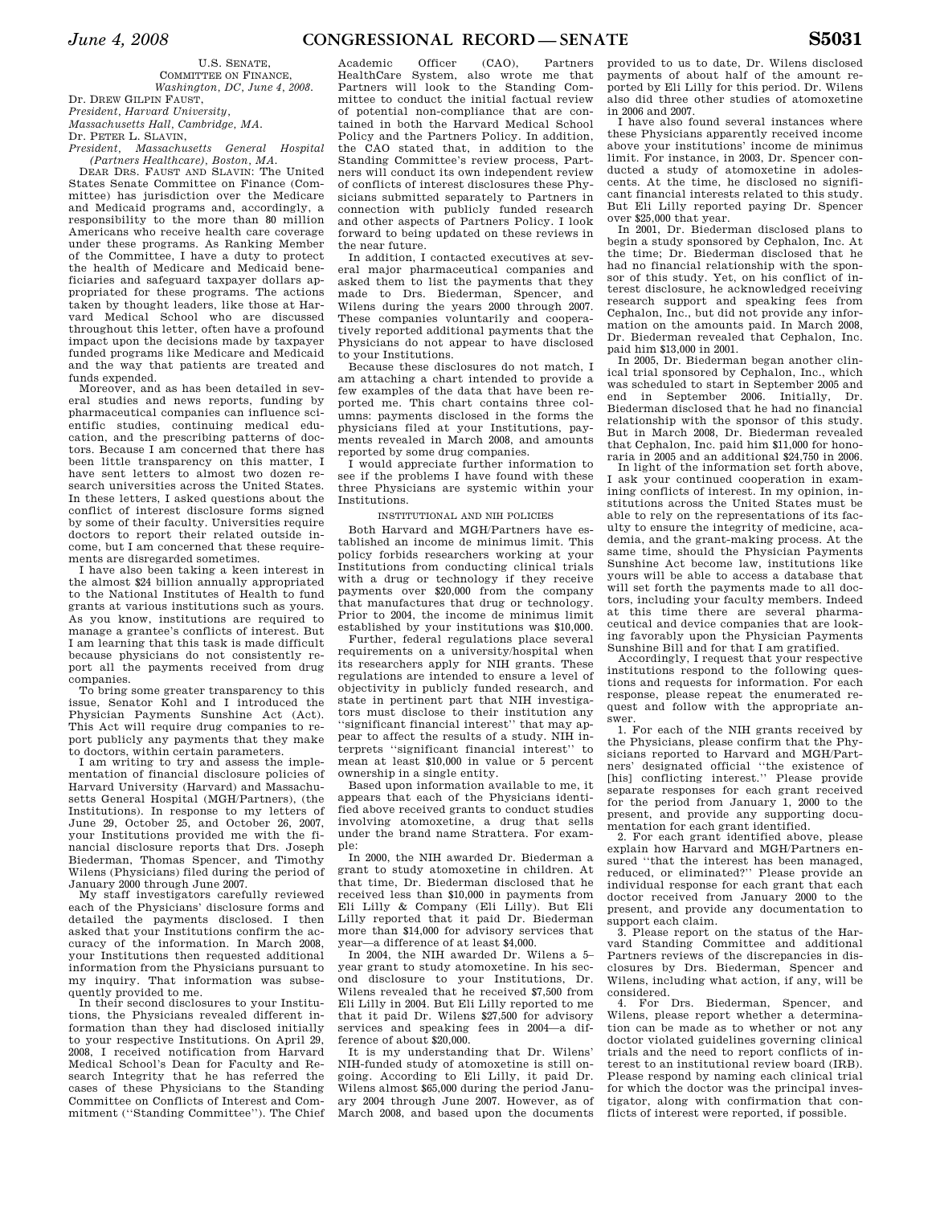U.S. SENATE, COMMITTEE ON FINANCE, *Washington, DC, June 4, 2008.*  Dr. DREW GILPIN FAUST,

*President, Harvard University,* 

*Massachusetts Hall, Cambridge, MA.* 

Dr. PETER L. SLAVIN,

*President, Massachusetts General Hospital (Partners Healthcare), Boston, MA.* 

DEAR DRS. FAUST AND SLAVIN: The United States Senate Committee on Finance (Committee) has jurisdiction over the Medicare and Medicaid programs and, accordingly, a responsibility to the more than 80 million Americans who receive health care coverage under these programs. As Ranking Member of the Committee, I have a duty to protect the health of Medicare and Medicaid beneficiaries and safeguard taxpayer dollars appropriated for these programs. The actions taken by thought leaders, like those at Harvard Medical School who are discussed throughout this letter, often have a profound impact upon the decisions made by taxpayer funded programs like Medicare and Medicaid and the way that patients are treated and funds expended.

Moreover, and as has been detailed in several studies and news reports, funding by pharmaceutical companies can influence scientific studies, continuing medical education, and the prescribing patterns of doctors. Because I am concerned that there has been little transparency on this matter, I have sent letters to almost two dozen research universities across the United States. In these letters, I asked questions about the conflict of interest disclosure forms signed by some of their faculty. Universities require doctors to report their related outside income, but I am concerned that these requirements are disregarded sometimes.

I have also been taking a keen interest in the almost \$24 billion annually appropriated to the National Institutes of Health to fund grants at various institutions such as yours. As you know, institutions are required to manage a grantee's conflicts of interest. But I am learning that this task is made difficult because physicians do not consistently report all the payments received from drug companies.

To bring some greater transparency to this issue, Senator Kohl and I introduced the Physician Payments Sunshine Act (Act). This Act will require drug companies to report publicly any payments that they make to doctors, within certain parameters.

I am writing to try and assess the implementation of financial disclosure policies of Harvard University (Harvard) and Massachusetts General Hospital (MGH/Partners), (the Institutions). In response to my letters of June 29, October 25, and October 26, 2007, your Institutions provided me with the financial disclosure reports that Drs. Joseph Biederman, Thomas Spencer, and Timothy Wilens (Physicians) filed during the period of January 2000 through June 2007.

My staff investigators carefully reviewed each of the Physicians' disclosure forms and detailed the payments disclosed. I then asked that your Institutions confirm the accuracy of the information. In March 2008, your Institutions then requested additional information from the Physicians pursuant to my inquiry. That information was subsequently provided to me.

In their second disclosures to your Institutions, the Physicians revealed different information than they had disclosed initially to your respective Institutions. On April 29, 2008, I received notification from Harvard Medical School's Dean for Faculty and Research Integrity that he has referred the cases of these Physicians to the Standing Committee on Conflicts of Interest and Commitment (''Standing Committee''). The Chief

Academic Officer (CAO), Partners HealthCare System, also wrote me that Partners will look to the Standing Committee to conduct the initial factual review of potential non-compliance that are contained in both the Harvard Medical School Policy and the Partners Policy. In addition, the CAO stated that, in addition to the Standing Committee's review process, Partners will conduct its own independent review of conflicts of interest disclosures these Physicians submitted separately to Partners in connection with publicly funded research and other aspects of Partners Policy. I look forward to being updated on these reviews in the near future.

In addition, I contacted executives at several major pharmaceutical companies and asked them to list the payments that they made to Drs. Biederman, Spencer, and Wilens during the years 2000 through 2007. These companies voluntarily and cooperatively reported additional payments that the Physicians do not appear to have disclosed to your Institutions.

Because these disclosures do not match, I am attaching a chart intended to provide a few examples of the data that have been reported me. This chart contains three columns: payments disclosed in the forms the physicians filed at your Institutions, payments revealed in March 2008, and amounts reported by some drug companies.

I would appreciate further information to see if the problems I have found with these three Physicians are systemic within your Institutions.

INSTITUTIONAL AND NIH POLICIES

Both Harvard and MGH/Partners have established an income de minimus limit. This policy forbids researchers working at your Institutions from conducting clinical trials with a drug or technology if they receive payments over \$20,000 from the company that manufactures that drug or technology. Prior to 2004, the income de minimus limit established by your institutions was \$10,000.

Further, federal regulations place several requirements on a university/hospital when its researchers apply for NIH grants. These regulations are intended to ensure a level of objectivity in publicly funded research, and state in pertinent part that NIH investigators must disclose to their institution any 'significant financial interest'' that may appear to affect the results of a study. NIH interprets ''significant financial interest'' to mean at least \$10,000 in value or 5 percent ownership in a single entity.

Based upon information available to me, it appears that each of the Physicians identified above received grants to conduct studies involving atomoxetine, a drug that sells under the brand name Strattera. For example:

In 2000, the NIH awarded Dr. Biederman a grant to study atomoxetine in children. At that time, Dr. Biederman disclosed that he received less than \$10,000 in payments from Eli Lilly & Company (Eli Lilly). But Eli Lilly reported that it paid Dr. Biederman more than \$14,000 for advisory services that year—a difference of at least \$4,000.

In 2004, the NIH awarded Dr. Wilens a 5– year grant to study atomoxetine. In his second disclosure to your Institutions, Dr. Wilens revealed that he received \$7,500 from Eli Lilly in 2004. But Eli Lilly reported to me that it paid Dr. Wilens \$27,500 for advisory services and speaking fees in 2004—a difference of about \$20,000.

It is my understanding that Dr. Wilens' NIH-funded study of atomoxetine is still ongoing. According to Eli Lilly, it paid Dr. Wilens almost \$65,000 during the period January 2004 through June 2007. However, as of March 2008, and based upon the documents

provided to us to date, Dr. Wilens disclosed payments of about half of the amount reported by Eli Lilly for this period. Dr. Wilens also did three other studies of atomoxetine in 2006 and 2007.

I have also found several instances where these Physicians apparently received income above your institutions' income de minimus limit. For instance, in 2003, Dr. Spencer conducted a study of atomoxetine in adolescents. At the time, he disclosed no significant financial interests related to this study. But Eli Lilly reported paying Dr. Spencer over \$25,000 that year.

In 2001, Dr. Biederman disclosed plans to begin a study sponsored by Cephalon, Inc. At the time; Dr. Biederman disclosed that he had no financial relationship with the sponsor of this study. Yet, on his conflict of interest disclosure, he acknowledged receiving research support and speaking fees from Cephalon, Inc., but did not provide any information on the amounts paid. In March 2008, Dr. Biederman revealed that Cephalon, Inc. paid him \$13,000 in 2001.

In 2005, Dr. Biederman began another clinical trial sponsored by Cephalon, Inc., which was scheduled to start in September 2005 and end in September 2006. Initially, Dr. Biederman disclosed that he had no financial relationship with the sponsor of this study. But in March 2008, Dr. Biederman revealed that Cephalon, Inc. paid him \$11,000 for honoraria in 2005 and an additional \$24,750 in 2006.

In light of the information set forth above, I ask your continued cooperation in examining conflicts of interest. In my opinion, institutions across the United States must be able to rely on the representations of its faculty to ensure the integrity of medicine, academia, and the grant-making process. At the same time, should the Physician Payments Sunshine Act become law, institutions like yours will be able to access a database that will set forth the payments made to all doctors, including your faculty members. Indeed at this time there are several pharmaceutical and device companies that are looking favorably upon the Physician Payments Sunshine Bill and for that I am gratified.

Accordingly, I request that your respective institutions respond to the following questions and requests for information. For each response, please repeat the enumerated request and follow with the appropriate answer.

1. For each of the NIH grants received by the Physicians, please confirm that the Physicians reported to Harvard and MGH/Partners' designated official ''the existence of [his] conflicting interest.'' Please provide separate responses for each grant received for the period from January 1, 2000 to the present, and provide any supporting documentation for each grant identified.

2. For each grant identified above, please explain how Harvard and MGH/Partners ensured ''that the interest has been managed, reduced, or eliminated?'' Please provide an individual response for each grant that each doctor received from January 2000 to the present, and provide any documentation to support each claim.

3. Please report on the status of the Harvard Standing Committee and additional Partners reviews of the discrepancies in disclosures by Drs. Biederman, Spencer and Wilens, including what action, if any, will be considered.

4. For Drs. Biederman, Spencer, and Wilens, please report whether a determination can be made as to whether or not any doctor violated guidelines governing clinical trials and the need to report conflicts of interest to an institutional review board (IRB). Please respond by naming each clinical trial for which the doctor was the principal investigator, along with confirmation that conflicts of interest were reported, if possible.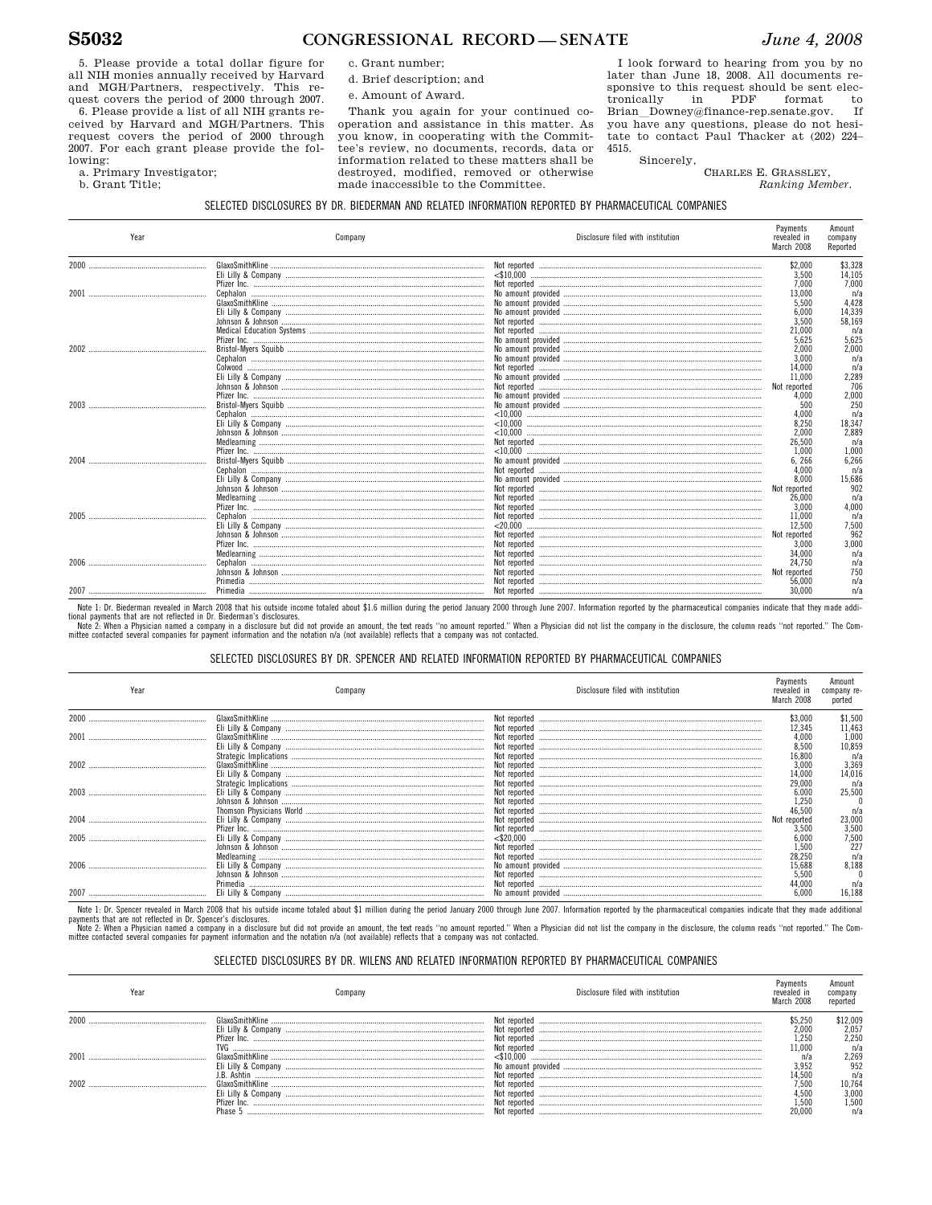5. Please provide a total dollar figure for all NIH monies annually received by Harvard and MGH/Partners, respectively. This request covers the period of 2000 through 2007.

6. Please provide a list of all NIH grants received by Harvard and MGH/Partners. This request covers the period of 2000 through 2007. For each grant please provide the following:

a. Primary Investigator;

b. Grant Title;

c. Grant number;

- d. Brief description; and
- e. Amount of Award.

Thank you again for your continued cooperation and assistance in this matter. As you know, in cooperating with the Committee's review, no documents, records, data or information related to these matters shall be destroyed, modified, removed or otherwise made inaccessible to the Committee.

I look forward to hearing from you by no later than June 18, 2008. All documents responsive to this request should be sent elec-PDF format tronically in to Brian Downey@finance-rep.senate.gov. **Tf** you have any questions, please do not hesitate to contact Paul Thacker at (202) 224-4515.

> Sincerely, CHARLES E. GRASSLEY, Ranking Member.

## SELECTED DISCLOSURES BY DR. BIEDERMAN AND RELATED INFORMATION REPORTED BY PHARMACEUTICAL COMPANIES

| Year | Company | Disclosure filed with institution | Payments<br>revealed in<br>March 2008 | Amount<br>company<br>Reported |
|------|---------|-----------------------------------|---------------------------------------|-------------------------------|
|      |         |                                   | \$2,000                               | \$3,328                       |
|      |         |                                   | 3.500                                 | 14.105                        |
|      |         |                                   | 7,000                                 | 7.000                         |
|      |         |                                   | 13,000                                | n/z                           |
|      |         |                                   | 5.500                                 | 4.428                         |
|      |         |                                   | 6.000                                 | 14.339                        |
|      |         |                                   | 3,500                                 | 58.169                        |
|      |         |                                   | 21.000                                | $n/\varepsilon$               |
|      |         |                                   | 5.625                                 | 5,625                         |
|      |         |                                   | 2.000                                 | 2.000                         |
|      |         |                                   | 3.000                                 | n/z                           |
|      |         |                                   | 14,000                                | n/z                           |
|      |         |                                   | 11.000                                | 2.289                         |
|      |         |                                   | Not reported                          | 706                           |
|      |         |                                   | 4.000                                 | 2.000                         |
|      |         |                                   | 500                                   | 250                           |
|      |         |                                   | 4.000                                 | n/z                           |
|      |         |                                   | 8.250                                 | 18.347                        |
|      |         |                                   | 2,000                                 | 2.889                         |
|      |         |                                   | 26.500                                | n/z                           |
|      |         |                                   | 1.000                                 | 1.000                         |
|      |         |                                   | 6.266                                 | 6,266                         |
|      |         |                                   | 4,000                                 | n/z                           |
|      |         |                                   | 8.000                                 | 15.686                        |
|      |         |                                   | Not reported                          | 902                           |
|      |         |                                   | 26,000                                | n/z                           |
|      |         |                                   | 3,000                                 | 4.000                         |
|      |         |                                   | 11.000                                | n/z                           |
|      |         |                                   | 12,500                                | 7.500                         |
|      |         |                                   | Not reported                          | 962                           |
|      |         |                                   | 3,000                                 | 3,000                         |
|      |         |                                   | 34,000                                | n/z                           |
|      |         |                                   | 24,750                                | $n/\varepsilon$               |
|      |         |                                   | Not reported                          | 750                           |
|      |         |                                   | 56,000                                | $n/\varepsilon$               |
|      |         |                                   | 30,000                                | $n/\varepsilon$               |

Note 1: Dr. Biederman revealed in March 2008 that his outside income totaled about \$1.6 million during the period January 2000 through June 2007. Information reported by the pharmaceutical companies indicate that they made tional nayments that are not reflected in Dr. Riederman's disclosures

which general state in the controller and provide an amount, the text reads "no amount reported." When a Physician did not list the company in the disclosure, the column reads "not reported." The Committee contacted severa

#### SELECTED DISCLOSURES BY DR. SPENCER AND RELATED INFORMATION REPORTED BY PHARMACEUTICAL COMPANIES

| Year | Company  | Disclosure filed with institution | Payments<br>revealed in<br>March 2008 | Amount<br>company re-<br>ported |
|------|----------|-----------------------------------|---------------------------------------|---------------------------------|
| 2000 |          |                                   | \$3,000                               | \$1,500                         |
| 2001 |          |                                   | 12,345<br>4,000<br>8,500              | 11,463<br>1,000<br>10,859       |
| 2002 |          | Not reported                      | 16,800<br>3,000<br>14,000             | n/a<br>3,369<br>14,016          |
|      |          |                                   | 29,000<br>6.000<br>1,250              | n/a<br>25,500                   |
|      |          |                                   | 46,500<br>Not reported<br>3,500       | n/a<br>23,000<br>3,500          |
|      |          |                                   | 6,000<br>1,500                        | 7,500<br>227                    |
|      |          |                                   | 28,250<br>15,688<br>5,500             | n/a<br>8,188                    |
|      | Primedia |                                   | 44,000<br>6,000                       | n/a<br>16.188                   |

Note 1: Dr. Spencer revealed in March 2008 that his outside income totaled about \$1 million during the period January 2000 though June 2007. Information reported by the pharmaceutical companies indicate that they made addi note : i. spented research in mani-zoo- una mis-out success module under about a minimum unity the pento January 2000 unlogin June 2007. Immination epoints by the priarmateutical companys module unclusted in Dr. Spencer's

mittee contacted several companies for payment information and the notation n/a (not available) reflects that a company was not contacted

# SELECTED DISCLOSURES BY DR. WILENS AND RELATED INFORMATION REPORTED BY PHARMACEUTICAL COMPANIES

| Year | ∶ompan              | Disclosure filed with institution | Pavments<br>revealed i<br>March 2008 | Amount<br>company<br>reported |
|------|---------------------|-----------------------------------|--------------------------------------|-------------------------------|
| 2000 | GlaxoSmithKline     | Not reported                      | \$5.250                              | \$12,009                      |
|      | Eli Lilly & Company | Not reported                      | 2.000                                | 2,057                         |
|      |                     | Not reported                      | 1,250                                | 2,250                         |
|      | TVG                 | Not reported                      | 1.000                                | n/a                           |
| 200  | GlaxoSmithKline     | <\$10.000                         | n/a                                  | 2,269                         |
|      | Eli Lilly & Company |                                   | 3.952                                | 952                           |
|      | Ashtin              | Not reported                      | 14,500                               | n/a                           |
| 2002 |                     | Not reported                      | 7.500                                | 10.764                        |
|      | Eli Lilly & Company | Not reported                      | 1.500                                | 3.000                         |
|      | Pfizer              | Not reported                      | 1.500                                | 1.500                         |
|      | Phase               |                                   | 20.000                               | n/a                           |